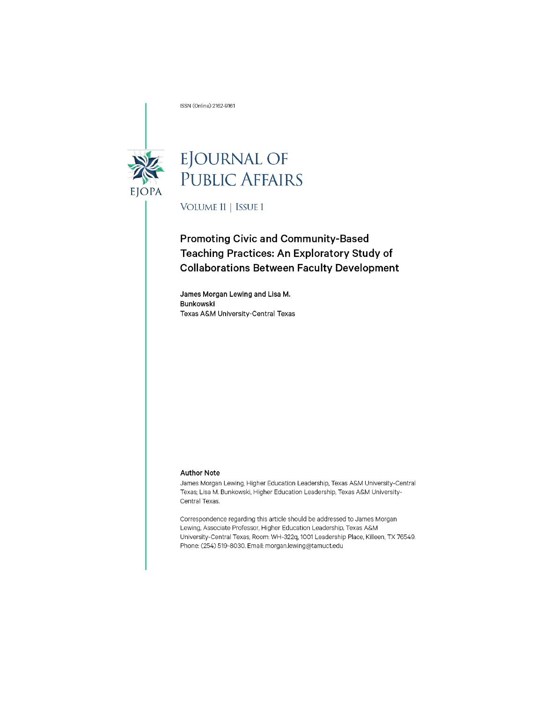ISSN (Online) 2162-9161



# EJOURNAL OF<br>PUBLIC AFFAIRS

VOLUME 11 | ISSUE 1

## **Promoting Civic and Community-Based** Teaching Practices: An Exploratory Study of **Collaborations Between Faculty Development**

James Morgan Lewing and Lisa M. Bunkowski Texas A&M University-Central Texas

#### **Author Note**

James Morgan Lewing, Higher Education Leadership, Texas A&M University-Central Texas; Lisa M. Bunkowski, Higher Education Leadership, Texas A&M University-Central Texas.

Correspondence regarding this article should be addressed to James Morgan Lewing, Associate Professor, Higher Education Leadership, Texas A&M University-Central Texas, Room: WH-322q, 1001 Leadership Place, Killeen, TX 76549. Phone: (254) 519-8030. Email: morgan.lewing@tamuct.edu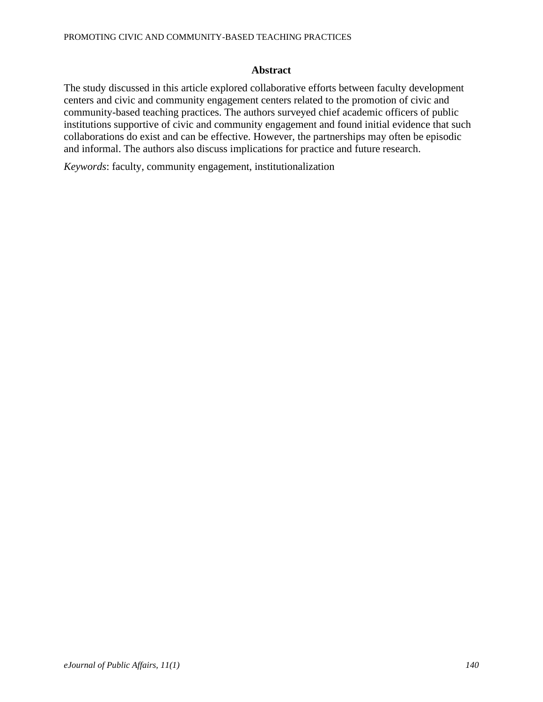## **Abstract**

The study discussed in this article explored collaborative efforts between faculty development centers and civic and community engagement centers related to the promotion of civic and community-based teaching practices. The authors surveyed chief academic officers of public institutions supportive of civic and community engagement and found initial evidence that such collaborations do exist and can be effective. However, the partnerships may often be episodic and informal. The authors also discuss implications for practice and future research.

*Keywords*: faculty, community engagement, institutionalization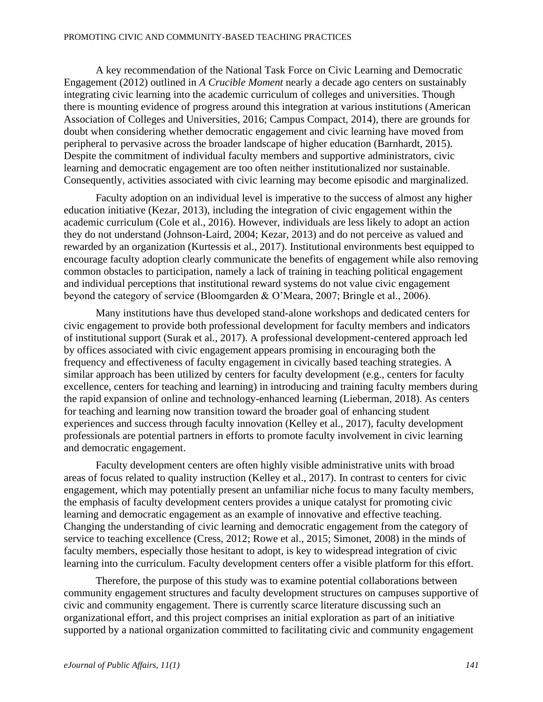A key recommendation of the National Task Force on Civic Learning and Democratic Engagement (2012) outlined in *A Crucible Moment* nearly a decade ago centers on sustainably integrating civic learning into the academic curriculum of colleges and universities. Though there is mounting evidence of progress around this integration at various institutions (American Association of Colleges and Universities, 2016; Campus Compact, 2014), there are grounds for doubt when considering whether democratic engagement and civic learning have moved from peripheral to pervasive across the broader landscape of higher education (Barnhardt, 2015). Despite the commitment of individual faculty members and supportive administrators, civic learning and democratic engagement are too often neither institutionalized nor sustainable. Consequently, activities associated with civic learning may become episodic and marginalized.

Faculty adoption on an individual level is imperative to the success of almost any higher education initiative (Kezar, 2013), including the integration of civic engagement within the academic curriculum (Cole et al., 2016). However, individuals are less likely to adopt an action they do not understand (Johnson-Laird, 2004; Kezar, 2013) and do not perceive as valued and rewarded by an organization (Kurtessis et al., 2017). Institutional environments best equipped to encourage faculty adoption clearly communicate the benefits of engagement while also removing common obstacles to participation, namely a lack of training in teaching political engagement and individual perceptions that institutional reward systems do not value civic engagement beyond the category of service (Bloomgarden & O'Meara, 2007; Bringle et al., 2006).

Many institutions have thus developed stand-alone workshops and dedicated centers for civic engagement to provide both professional development for faculty members and indicators of institutional support (Surak et al., 2017). A professional development-centered approach led by offices associated with civic engagement appears promising in encouraging both the frequency and effectiveness of faculty engagement in civically based teaching strategies. A similar approach has been utilized by centers for faculty development (e.g., centers for faculty excellence, centers for teaching and learning) in introducing and training faculty members during the rapid expansion of online and technology-enhanced learning (Lieberman, 2018). As centers for teaching and learning now transition toward the broader goal of enhancing student experiences and success through faculty innovation (Kelley et al., 2017), faculty development professionals are potential partners in efforts to promote faculty involvement in civic learning and democratic engagement.

Faculty development centers are often highly visible administrative units with broad areas of focus related to quality instruction (Kelley et al., 2017). In contrast to centers for civic engagement, which may potentially present an unfamiliar niche focus to many faculty members, the emphasis of faculty development centers provides a unique catalyst for promoting civic learning and democratic engagement as an example of innovative and effective teaching. Changing the understanding of civic learning and democratic engagement from the category of service to teaching excellence (Cress, 2012; Rowe et al., 2015; Simonet, 2008) in the minds of faculty members, especially those hesitant to adopt, is key to widespread integration of civic learning into the curriculum. Faculty development centers offer a visible platform for this effort.

Therefore, the purpose of this study was to examine potential collaborations between community engagement structures and faculty development structures on campuses supportive of civic and community engagement. There is currently scarce literature discussing such an organizational effort, and this project comprises an initial exploration as part of an initiative supported by a national organization committed to facilitating civic and community engagement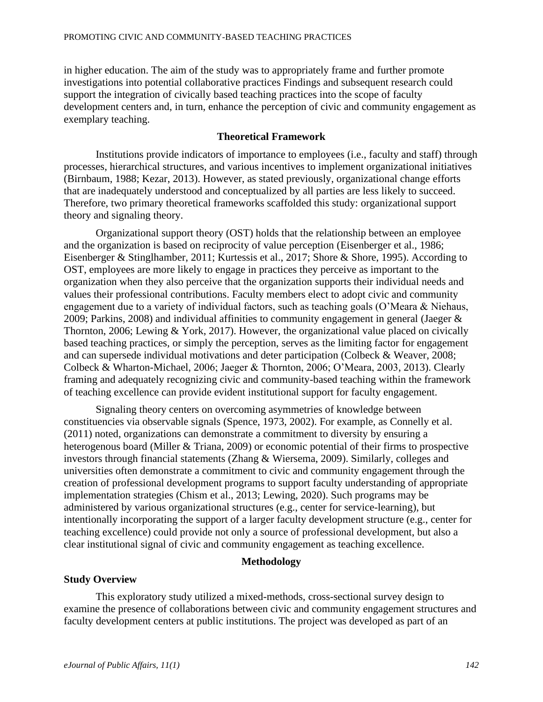in higher education. The aim of the study was to appropriately frame and further promote investigations into potential collaborative practices Findings and subsequent research could support the integration of civically based teaching practices into the scope of faculty development centers and, in turn, enhance the perception of civic and community engagement as exemplary teaching.

## **Theoretical Framework**

Institutions provide indicators of importance to employees (i.e., faculty and staff) through processes, hierarchical structures, and various incentives to implement organizational initiatives (Birnbaum, 1988; Kezar, 2013). However, as stated previously, organizational change efforts that are inadequately understood and conceptualized by all parties are less likely to succeed. Therefore, two primary theoretical frameworks scaffolded this study: organizational support theory and signaling theory.

Organizational support theory (OST) holds that the relationship between an employee and the organization is based on reciprocity of value perception (Eisenberger et al., 1986; Eisenberger & Stinglhamber, 2011; Kurtessis et al., 2017; Shore & Shore, 1995). According to OST, employees are more likely to engage in practices they perceive as important to the organization when they also perceive that the organization supports their individual needs and values their professional contributions. Faculty members elect to adopt civic and community engagement due to a variety of individual factors, such as teaching goals (O'Meara & Niehaus, 2009; Parkins, 2008) and individual affinities to community engagement in general (Jaeger & Thornton, 2006; Lewing & York, 2017). However, the organizational value placed on civically based teaching practices, or simply the perception, serves as the limiting factor for engagement and can supersede individual motivations and deter participation (Colbeck & Weaver, 2008; Colbeck & Wharton-Michael, 2006; Jaeger & Thornton, 2006; O'Meara, 2003, 2013). Clearly framing and adequately recognizing civic and community-based teaching within the framework of teaching excellence can provide evident institutional support for faculty engagement.

Signaling theory centers on overcoming asymmetries of knowledge between constituencies via observable signals (Spence, 1973, 2002). For example, as Connelly et al. (2011) noted, organizations can demonstrate a commitment to diversity by ensuring a heterogenous board (Miller & Triana, 2009) or economic potential of their firms to prospective investors through financial statements (Zhang & Wiersema, 2009). Similarly, colleges and universities often demonstrate a commitment to civic and community engagement through the creation of professional development programs to support faculty understanding of appropriate implementation strategies (Chism et al., 2013; Lewing, 2020). Such programs may be administered by various organizational structures (e.g., center for service-learning), but intentionally incorporating the support of a larger faculty development structure (e.g., center for teaching excellence) could provide not only a source of professional development, but also a clear institutional signal of civic and community engagement as teaching excellence.

## **Methodology**

#### **Study Overview**

This exploratory study utilized a mixed-methods, cross-sectional survey design to examine the presence of collaborations between civic and community engagement structures and faculty development centers at public institutions. The project was developed as part of an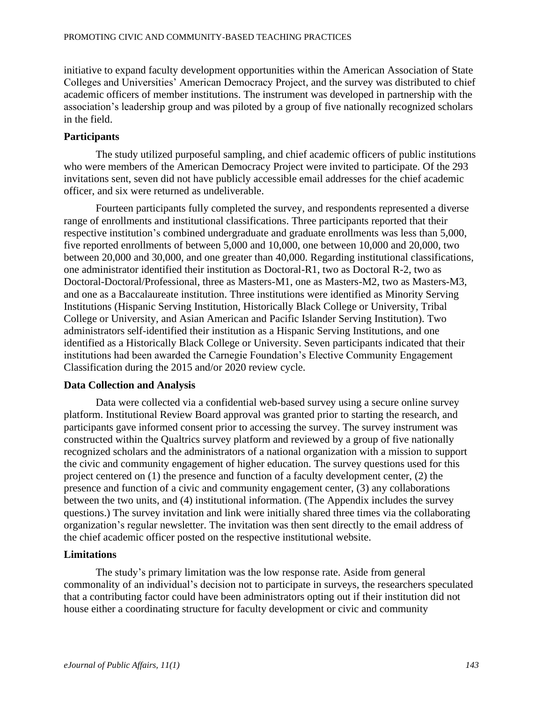initiative to expand faculty development opportunities within the American Association of State Colleges and Universities' American Democracy Project, and the survey was distributed to chief academic officers of member institutions. The instrument was developed in partnership with the association's leadership group and was piloted by a group of five nationally recognized scholars in the field.

## **Participants**

The study utilized purposeful sampling, and chief academic officers of public institutions who were members of the American Democracy Project were invited to participate. Of the 293 invitations sent, seven did not have publicly accessible email addresses for the chief academic officer, and six were returned as undeliverable.

Fourteen participants fully completed the survey, and respondents represented a diverse range of enrollments and institutional classifications. Three participants reported that their respective institution's combined undergraduate and graduate enrollments was less than 5,000, five reported enrollments of between 5,000 and 10,000, one between 10,000 and 20,000, two between 20,000 and 30,000, and one greater than 40,000. Regarding institutional classifications, one administrator identified their institution as Doctoral-R1, two as Doctoral R-2, two as Doctoral-Doctoral/Professional, three as Masters-M1, one as Masters-M2, two as Masters-M3, and one as a Baccalaureate institution. Three institutions were identified as Minority Serving Institutions (Hispanic Serving Institution, Historically Black College or University, Tribal College or University, and Asian American and Pacific Islander Serving Institution). Two administrators self-identified their institution as a Hispanic Serving Institutions, and one identified as a Historically Black College or University. Seven participants indicated that their institutions had been awarded the Carnegie Foundation's Elective Community Engagement Classification during the 2015 and/or 2020 review cycle.

## **Data Collection and Analysis**

Data were collected via a confidential web-based survey using a secure online survey platform. Institutional Review Board approval was granted prior to starting the research, and participants gave informed consent prior to accessing the survey. The survey instrument was constructed within the Qualtrics survey platform and reviewed by a group of five nationally recognized scholars and the administrators of a national organization with a mission to support the civic and community engagement of higher education. The survey questions used for this project centered on (1) the presence and function of a faculty development center, (2) the presence and function of a civic and community engagement center, (3) any collaborations between the two units, and (4) institutional information. (The Appendix includes the survey questions.) The survey invitation and link were initially shared three times via the collaborating organization's regular newsletter. The invitation was then sent directly to the email address of the chief academic officer posted on the respective institutional website.

## **Limitations**

The study's primary limitation was the low response rate. Aside from general commonality of an individual's decision not to participate in surveys, the researchers speculated that a contributing factor could have been administrators opting out if their institution did not house either a coordinating structure for faculty development or civic and community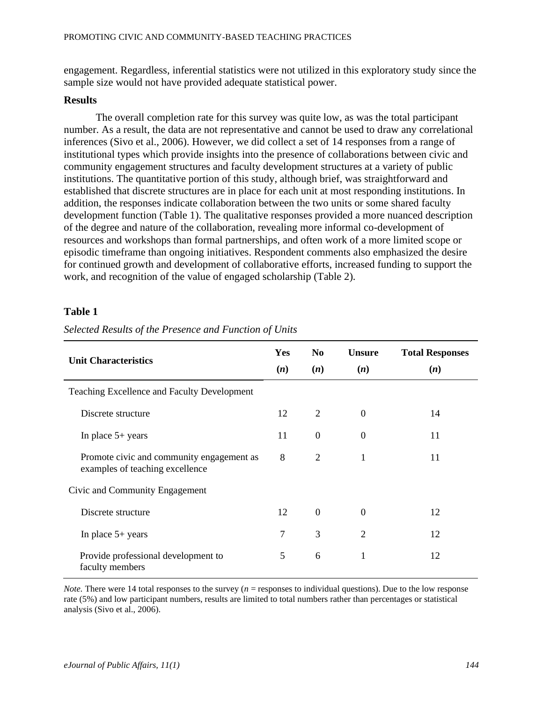engagement. Regardless, inferential statistics were not utilized in this exploratory study since the sample size would not have provided adequate statistical power.

#### **Results**

The overall completion rate for this survey was quite low, as was the total participant number. As a result, the data are not representative and cannot be used to draw any correlational inferences (Sivo et al., 2006). However, we did collect a set of 14 responses from a range of institutional types which provide insights into the presence of collaborations between civic and community engagement structures and faculty development structures at a variety of public institutions. The quantitative portion of this study, although brief, was straightforward and established that discrete structures are in place for each unit at most responding institutions. In addition, the responses indicate collaboration between the two units or some shared faculty development function (Table 1). The qualitative responses provided a more nuanced description of the degree and nature of the collaboration, revealing more informal co-development of resources and workshops than formal partnerships, and often work of a more limited scope or episodic timeframe than ongoing initiatives. Respondent comments also emphasized the desire for continued growth and development of collaborative efforts, increased funding to support the work, and recognition of the value of engaged scholarship (Table 2).

## **Table 1**

| <b>Unit Characteristics</b>                                                  |    | N <sub>0</sub>   | <b>Unsure</b>    | <b>Total Responses</b> |
|------------------------------------------------------------------------------|----|------------------|------------------|------------------------|
|                                                                              |    | (n)              | (n)              | (n)                    |
| Teaching Excellence and Faculty Development                                  |    |                  |                  |                        |
| Discrete structure                                                           |    | $\overline{2}$   | $\overline{0}$   | 14                     |
| In place $5+$ years                                                          | 11 | $\boldsymbol{0}$ | $\boldsymbol{0}$ | 11                     |
| Promote civic and community engagement as<br>examples of teaching excellence | 8  | $\overline{2}$   | 1                | 11                     |
| Civic and Community Engagement                                               |    |                  |                  |                        |
| Discrete structure                                                           | 12 | $\mathbf{0}$     | $\boldsymbol{0}$ | 12                     |
| In place $5+$ years                                                          | 7  | 3                | 2                | 12                     |
| Provide professional development to<br>faculty members                       | 5  | 6                | 1                | 12                     |

*Selected Results of the Presence and Function of Units*

*Note.* There were 14 total responses to the survey (*n* = responses to individual questions). Due to the low response rate (5%) and low participant numbers, results are limited to total numbers rather than percentages or statistical analysis (Sivo et al., 2006).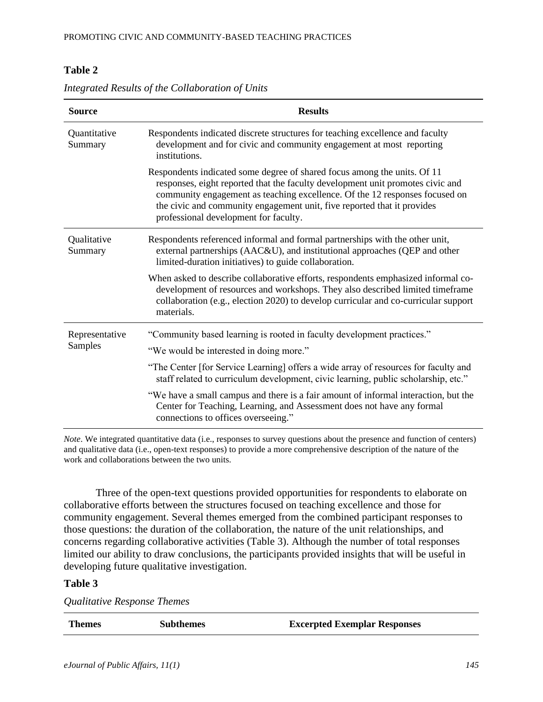## **Table 2**

| <b>Source</b>           | <b>Results</b>                                                                                                                                                                                                                                                                                                                                                |  |  |  |
|-------------------------|---------------------------------------------------------------------------------------------------------------------------------------------------------------------------------------------------------------------------------------------------------------------------------------------------------------------------------------------------------------|--|--|--|
| Quantitative<br>Summary | Respondents indicated discrete structures for teaching excellence and faculty<br>development and for civic and community engagement at most reporting<br>institutions.                                                                                                                                                                                        |  |  |  |
|                         | Respondents indicated some degree of shared focus among the units. Of 11<br>responses, eight reported that the faculty development unit promotes civic and<br>community engagement as teaching excellence. Of the 12 responses focused on<br>the civic and community engagement unit, five reported that it provides<br>professional development for faculty. |  |  |  |
| Qualitative<br>Summary  | Respondents referenced informal and formal partnerships with the other unit,<br>external partnerships (AAC&U), and institutional approaches (QEP and other<br>limited-duration initiatives) to guide collaboration.                                                                                                                                           |  |  |  |
|                         | When asked to describe collaborative efforts, respondents emphasized informal co-<br>development of resources and workshops. They also described limited timeframe<br>collaboration (e.g., election 2020) to develop curricular and co-curricular support<br>materials.                                                                                       |  |  |  |
| Representative          | "Community based learning is rooted in faculty development practices."                                                                                                                                                                                                                                                                                        |  |  |  |
| Samples                 | "We would be interested in doing more."                                                                                                                                                                                                                                                                                                                       |  |  |  |
|                         | "The Center [for Service Learning] offers a wide array of resources for faculty and<br>staff related to curriculum development, civic learning, public scholarship, etc."                                                                                                                                                                                     |  |  |  |
|                         | "We have a small campus and there is a fair amount of informal interaction, but the<br>Center for Teaching, Learning, and Assessment does not have any formal<br>connections to offices overseeing."                                                                                                                                                          |  |  |  |

*Integrated Results of the Collaboration of Units*

*Note*. We integrated quantitative data (i.e., responses to survey questions about the presence and function of centers) and qualitative data (i.e., open-text responses) to provide a more comprehensive description of the nature of the work and collaborations between the two units.

Three of the open-text questions provided opportunities for respondents to elaborate on collaborative efforts between the structures focused on teaching excellence and those for community engagement. Several themes emerged from the combined participant responses to those questions: the duration of the collaboration, the nature of the unit relationships, and concerns regarding collaborative activities (Table 3). Although the number of total responses limited our ability to draw conclusions, the participants provided insights that will be useful in developing future qualitative investigation.

## **Table 3**

*Qualitative Response Themes*

| <b>Themes</b> | <b>Subthemes</b> | <b>Excerpted Exemplar Responses</b> |
|---------------|------------------|-------------------------------------|
|               |                  |                                     |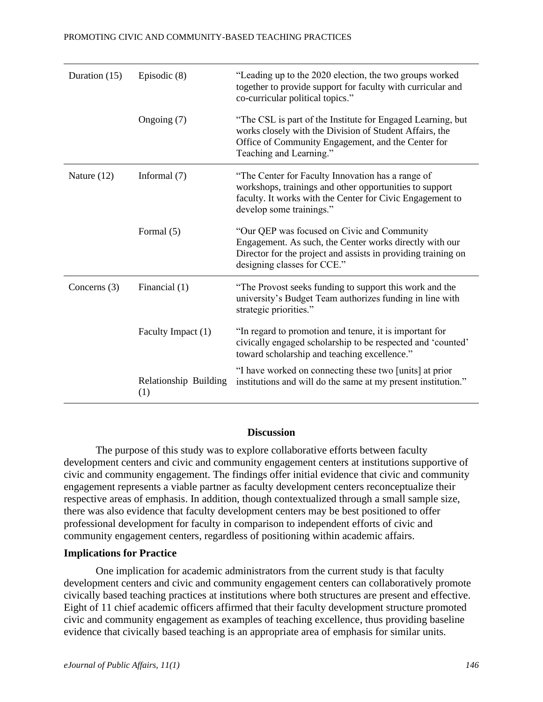| Duration (15)  | Episodic (8)                 | "Leading up to the 2020 election, the two groups worked<br>together to provide support for faculty with curricular and<br>co-curricular political topics."                                              |
|----------------|------------------------------|---------------------------------------------------------------------------------------------------------------------------------------------------------------------------------------------------------|
|                | Ongoing (7)                  | "The CSL is part of the Institute for Engaged Learning, but<br>works closely with the Division of Student Affairs, the<br>Office of Community Engagement, and the Center for<br>Teaching and Learning." |
| Nature (12)    | Informal $(7)$               | "The Center for Faculty Innovation has a range of<br>workshops, trainings and other opportunities to support<br>faculty. It works with the Center for Civic Engagement to<br>develop some trainings."   |
|                | Formal (5)                   | "Our QEP was focused on Civic and Community<br>Engagement. As such, the Center works directly with our<br>Director for the project and assists in providing training on<br>designing classes for CCE."  |
| Concerns $(3)$ | Financial (1)                | "The Provost seeks funding to support this work and the<br>university's Budget Team authorizes funding in line with<br>strategic priorities."                                                           |
|                | Faculty Impact (1)           | "In regard to promotion and tenure, it is important for<br>civically engaged scholarship to be respected and 'counted'<br>toward scholarship and teaching excellence."                                  |
|                | Relationship Building<br>(1) | "I have worked on connecting these two [units] at prior<br>institutions and will do the same at my present institution."                                                                                |

## **Discussion**

The purpose of this study was to explore collaborative efforts between faculty development centers and civic and community engagement centers at institutions supportive of civic and community engagement. The findings offer initial evidence that civic and community engagement represents a viable partner as faculty development centers reconceptualize their respective areas of emphasis. In addition, though contextualized through a small sample size, there was also evidence that faculty development centers may be best positioned to offer professional development for faculty in comparison to independent efforts of civic and community engagement centers, regardless of positioning within academic affairs.

## **Implications for Practice**

One implication for academic administrators from the current study is that faculty development centers and civic and community engagement centers can collaboratively promote civically based teaching practices at institutions where both structures are present and effective. Eight of 11 chief academic officers affirmed that their faculty development structure promoted civic and community engagement as examples of teaching excellence, thus providing baseline evidence that civically based teaching is an appropriate area of emphasis for similar units.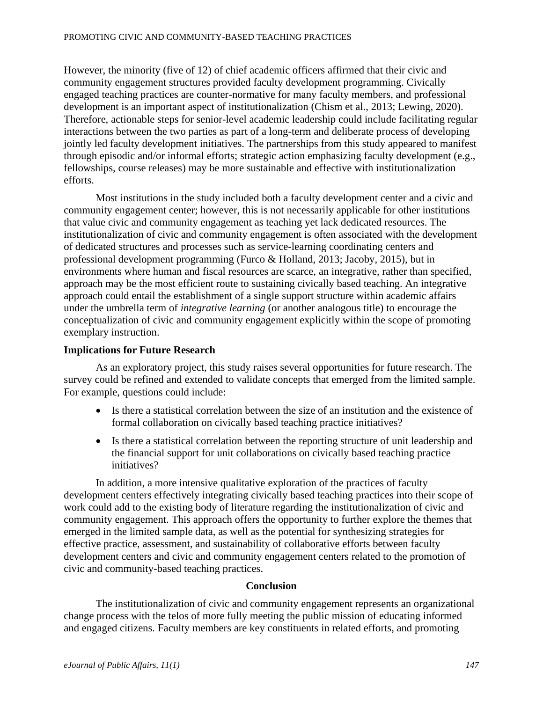However, the minority (five of 12) of chief academic officers affirmed that their civic and community engagement structures provided faculty development programming. Civically engaged teaching practices are counter-normative for many faculty members, and professional development is an important aspect of institutionalization (Chism et al., 2013; Lewing, 2020). Therefore, actionable steps for senior-level academic leadership could include facilitating regular interactions between the two parties as part of a long-term and deliberate process of developing jointly led faculty development initiatives. The partnerships from this study appeared to manifest through episodic and/or informal efforts; strategic action emphasizing faculty development (e.g., fellowships, course releases) may be more sustainable and effective with institutionalization efforts.

Most institutions in the study included both a faculty development center and a civic and community engagement center; however, this is not necessarily applicable for other institutions that value civic and community engagement as teaching yet lack dedicated resources. The institutionalization of civic and community engagement is often associated with the development of dedicated structures and processes such as service-learning coordinating centers and professional development programming (Furco & Holland, 2013; Jacoby, 2015), but in environments where human and fiscal resources are scarce, an integrative, rather than specified, approach may be the most efficient route to sustaining civically based teaching. An integrative approach could entail the establishment of a single support structure within academic affairs under the umbrella term of *integrative learning* (or another analogous title) to encourage the conceptualization of civic and community engagement explicitly within the scope of promoting exemplary instruction.

## **Implications for Future Research**

As an exploratory project, this study raises several opportunities for future research. The survey could be refined and extended to validate concepts that emerged from the limited sample. For example, questions could include:

- Is there a statistical correlation between the size of an institution and the existence of formal collaboration on civically based teaching practice initiatives?
- Is there a statistical correlation between the reporting structure of unit leadership and the financial support for unit collaborations on civically based teaching practice initiatives?

In addition, a more intensive qualitative exploration of the practices of faculty development centers effectively integrating civically based teaching practices into their scope of work could add to the existing body of literature regarding the institutionalization of civic and community engagement. This approach offers the opportunity to further explore the themes that emerged in the limited sample data, as well as the potential for synthesizing strategies for effective practice, assessment, and sustainability of collaborative efforts between faculty development centers and civic and community engagement centers related to the promotion of civic and community-based teaching practices.

## **Conclusion**

The institutionalization of civic and community engagement represents an organizational change process with the telos of more fully meeting the public mission of educating informed and engaged citizens. Faculty members are key constituents in related efforts, and promoting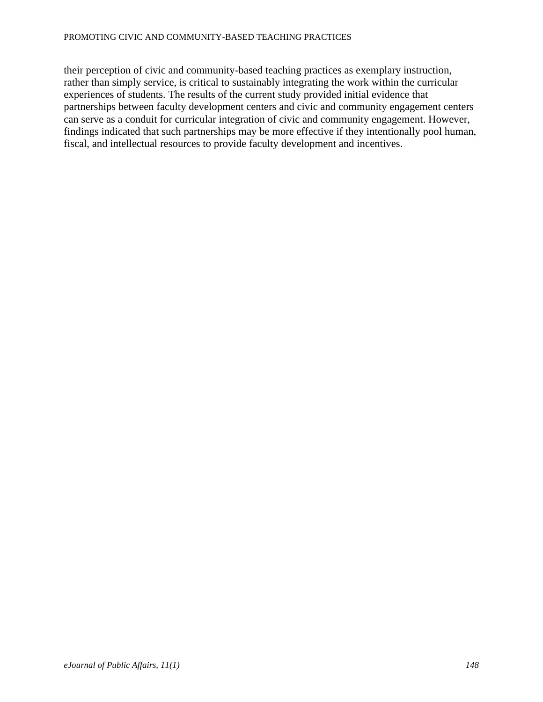their perception of civic and community-based teaching practices as exemplary instruction, rather than simply service, is critical to sustainably integrating the work within the curricular experiences of students. The results of the current study provided initial evidence that partnerships between faculty development centers and civic and community engagement centers can serve as a conduit for curricular integration of civic and community engagement. However, findings indicated that such partnerships may be more effective if they intentionally pool human, fiscal, and intellectual resources to provide faculty development and incentives.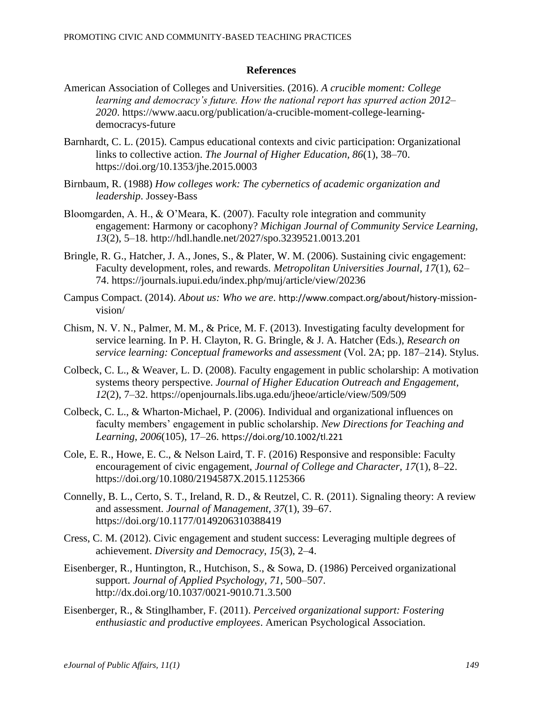## **References**

- American Association of Colleges and Universities. (2016). *A crucible moment: College learning and democracy's future. How the national report has spurred action 2012– 2020*. https://www.aacu.org/publication/a-crucible-moment-college-learningdemocracys-future
- Barnhardt, C. L. (2015). Campus educational contexts and civic participation: Organizational links to collective action. *The Journal of Higher Education, 86*(1), 38–70. https://doi.org/10.1353/jhe.2015.0003
- Birnbaum, R. (1988) *How colleges work: The cybernetics of academic organization and leadership*. Jossey-Bass
- Bloomgarden, A. H., & O'Meara, K. (2007). Faculty role integration and community engagement: Harmony or cacophony? *Michigan Journal of Community Service Learning, 13*(2), 5–18. http://hdl.handle.net/2027/spo.3239521.0013.201
- Bringle, R. G., Hatcher, J. A., Jones, S., & Plater, W. M. (2006). Sustaining civic engagement: Faculty development, roles, and rewards. *Metropolitan Universities Journal, 17*(1), 62– 74. https://journals.iupui.edu/index.php/muj/article/view/20236
- Campus Compact. (2014). *About us: Who we are*. http://www.compact.org/about/history-missionvision/
- Chism, N. V. N., Palmer, M. M., & Price, M. F. (2013). Investigating faculty development for service learning. In P. H. Clayton, R. G. Bringle, & J. A. Hatcher (Eds.), *Research on service learning: Conceptual frameworks and assessment* (Vol. 2A; pp. 187–214). Stylus.
- Colbeck, C. L., & Weaver, L. D. (2008). Faculty engagement in public scholarship: A motivation systems theory perspective. *Journal of Higher Education Outreach and Engagement, 12*(2), 7–32. https://openjournals.libs.uga.edu/jheoe/article/view/509/509
- Colbeck, C. L., & Wharton-Michael, P. (2006). Individual and organizational influences on faculty members' engagement in public scholarship. *New Directions for Teaching and Learning*, *2006*(105), 17–26. https://doi.org/10.1002/tl.221
- Cole, E. R., Howe, E. C., & Nelson Laird, T. F. (2016) Responsive and responsible: Faculty encouragement of civic engagement, *Journal of College and Character, 17*(1), 8–22. https://doi.org/10.1080/2194587X.2015.1125366
- Connelly, B. L., Certo, S. T., Ireland, R. D., & Reutzel, C. R. (2011). Signaling theory: A review and assessment. *Journal of Management, 37*(1), 39–67. https://doi.org/10.1177/0149206310388419
- Cress, C. M. (2012). Civic engagement and student success: Leveraging multiple degrees of achievement. *Diversity and Democracy*, *15*(3), 2–4.
- Eisenberger, R., Huntington, R., Hutchison, S., & Sowa, D. (1986) Perceived organizational support. *Journal of Applied Psychology, 71*, 500–507. http://dx.doi.org/10.1037/0021-9010.71.3.500
- Eisenberger, R., & Stinglhamber, F. (2011). *Perceived organizational support: Fostering enthusiastic and productive employees*. American Psychological Association.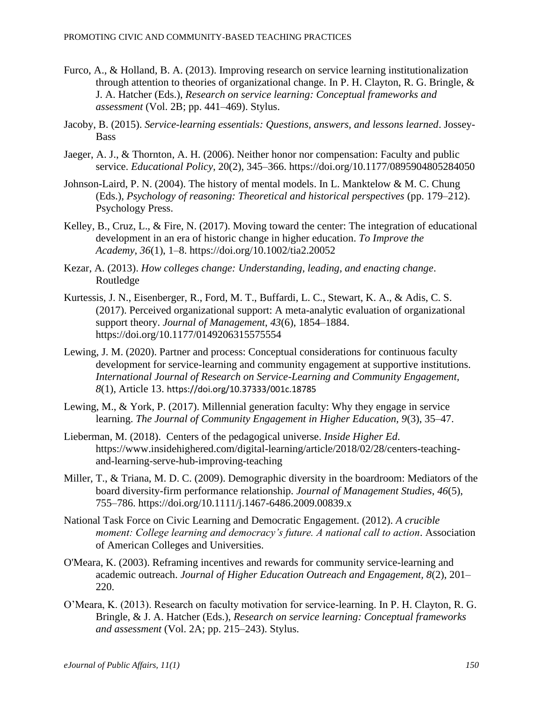- Furco, A., & Holland, B. A. (2013). Improving research on service learning institutionalization through attention to theories of organizational change. In P. H. Clayton, R. G. Bringle, & J. A. Hatcher (Eds.), *Research on service learning: Conceptual frameworks and assessment* (Vol. 2B; pp. 441–469). Stylus.
- Jacoby, B. (2015). *Service-learning essentials: Questions, answers, and lessons learned*. Jossey-Bass
- Jaeger, A. J., & Thornton, A. H. (2006). Neither honor nor compensation: Faculty and public service. *Educational Policy*, 20(2), 345–366. https://doi.org/10.1177/0895904805284050
- Johnson-Laird, P. N. (2004). The history of mental models. In L. Manktelow & M. C. Chung (Eds.), *Psychology of reasoning: Theoretical and historical perspectives* (pp. 179–212). Psychology Press.
- Kelley, B., Cruz, L., & Fire, N. (2017). Moving toward the center: The integration of educational development in an era of historic change in higher education. *To Improve the Academy*, *36*(1), 1–8. https://doi.org/10.1002/tia2.20052
- Kezar, A. (2013). *How colleges change: Understanding, leading, and enacting change*. Routledge
- Kurtessis, J. N., Eisenberger, R., Ford, M. T., Buffardi, L. C., Stewart, K. A., & Adis, C. S. (2017). Perceived organizational support: A meta-analytic evaluation of organizational support theory. *Journal of Management*, *43*(6), 1854–1884. https://doi.org/10.1177/0149206315575554
- Lewing, J. M. (2020). Partner and process: Conceptual considerations for continuous faculty development for service-learning and community engagement at supportive institutions. *International Journal of Research on Service-Learning and Community Engagement, 8*(1), Article 13. https://doi.org/10.37333/001c.18785
- Lewing, M., & York, P. (2017). Millennial generation faculty: Why they engage in service learning. *The Journal of Community Engagement in Higher Education, 9*(3), 35–47.
- Lieberman, M. (2018). Centers of the pedagogical universe. *Inside Higher Ed*. https://www.insidehighered.com/digital-learning/article/2018/02/28/centers-teachingand-learning-serve-hub-improving-teaching
- Miller, T., & Triana, M. D. C. (2009). Demographic diversity in the boardroom: Mediators of the board diversity-firm performance relationship. *Journal of Management Studies*, *46*(5), 755–786. https://doi.org/10.1111/j.1467-6486.2009.00839.x
- National Task Force on Civic Learning and Democratic Engagement. (2012). *A crucible moment: College learning and democracy's future. A national call to action*. Association of American Colleges and Universities.
- O'Meara, K. (2003). Reframing incentives and rewards for community service-learning and academic outreach. *Journal of Higher Education Outreach and Engagement, 8*(2), 201– 220.
- O'Meara, K. (2013). Research on faculty motivation for service-learning. In P. H. Clayton, R. G. Bringle, & J. A. Hatcher (Eds.), *Research on service learning: Conceptual frameworks and assessment* (Vol. 2A; pp. 215–243). Stylus.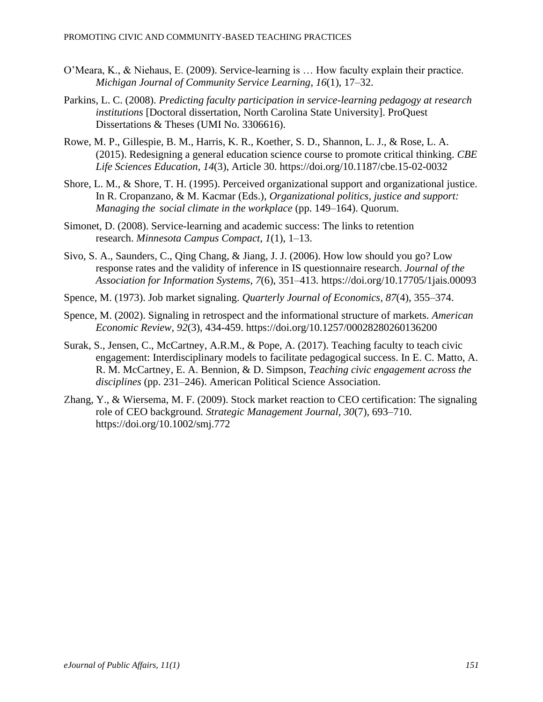- O'Meara, K., & Niehaus, E. (2009). Service-learning is … How faculty explain their practice. *Michigan Journal of Community Service Learning*, *16*(1), 17–32.
- Parkins, L. C. (2008). *Predicting faculty participation in service-learning pedagogy at research institutions* [Doctoral dissertation, North Carolina State University]. ProQuest Dissertations & Theses (UMI No. 3306616).
- Rowe, M. P., Gillespie, B. M., Harris, K. R., Koether, S. D., Shannon, L. J., & Rose, L. A. (2015). Redesigning a general education science course to promote critical thinking. *CBE Life Sciences Education*, *14*(3), Article 30. https://doi.org/10.1187/cbe.15-02-0032
- Shore, L. M., & Shore, T. H. (1995). Perceived organizational support and organizational justice. In R. Cropanzano, & M. Kacmar (Eds.), *Organizational politics, justice and support: Managing the social climate in the workplace* (pp. 149–164). Quorum.
- Simonet, D. (2008). Service-learning and academic success: The links to retention research. *Minnesota Campus Compact*, *1*(1), 1–13.
- Sivo, S. A., Saunders, C., Qing Chang, & Jiang, J. J. (2006). How low should you go? Low response rates and the validity of inference in IS questionnaire research. *Journal of the Association for Information Systems*, *7*(6), 351–413. https://doi.org/10.17705/1jais.00093
- Spence, M. (1973). Job market signaling. *Quarterly Journal of Economics, 87*(4), 355–374.
- Spence, M. (2002). Signaling in retrospect and the informational structure of markets. *American Economic Review, 92*(3)*,* 434-459. https://doi.org/10.1257/00028280260136200
- Surak, S., Jensen, C., McCartney, A.R.M., & Pope, A. (2017). Teaching faculty to teach civic engagement: Interdisciplinary models to facilitate pedagogical success. In E. C. Matto, A. R. M. McCartney, E. A. Bennion, & D. Simpson, *Teaching civic engagement across the disciplines* (pp. 231–246). American Political Science Association.
- Zhang, Y., & Wiersema, M. F. (2009). Stock market reaction to CEO certification: The signaling role of CEO background. *Strategic Management Journal, 30*(7), 693–710. https://doi.org/10.1002/smj.772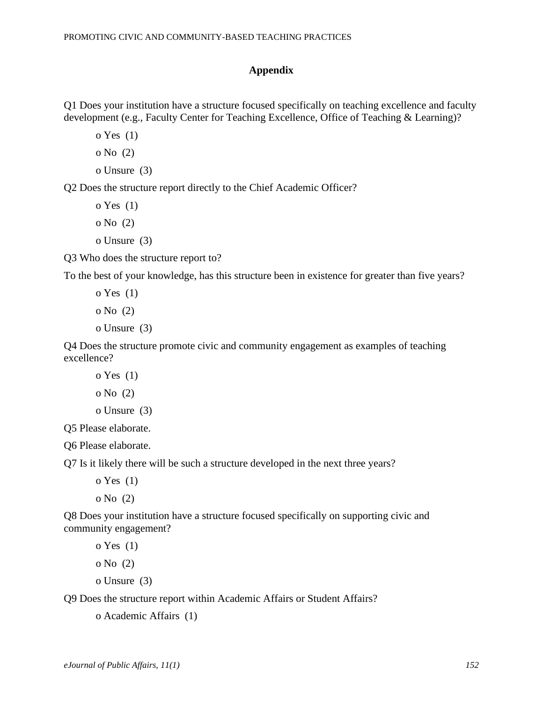#### **Appendix**

Q1 Does your institution have a structure focused specifically on teaching excellence and faculty development (e.g., Faculty Center for Teaching Excellence, Office of Teaching & Learning)?

o Yes (1)

o No (2)

o Unsure (3)

Q2 Does the structure report directly to the Chief Academic Officer?

o Yes (1)

o No (2)

o Unsure (3)

Q3 Who does the structure report to?

To the best of your knowledge, has this structure been in existence for greater than five years?

```
o Yes (1)
o No (2)
o Unsure (3)
```
Q4 Does the structure promote civic and community engagement as examples of teaching excellence?

```
o Yes (1)
o No (2)
```

```
o Unsure (3)
```
Q5 Please elaborate.

Q6 Please elaborate.

Q7 Is it likely there will be such a structure developed in the next three years?

o Yes (1)

o No (2)

Q8 Does your institution have a structure focused specifically on supporting civic and community engagement?

o Yes (1)

o No (2)

o Unsure (3)

Q9 Does the structure report within Academic Affairs or Student Affairs?

```
o Academic Affairs (1)
```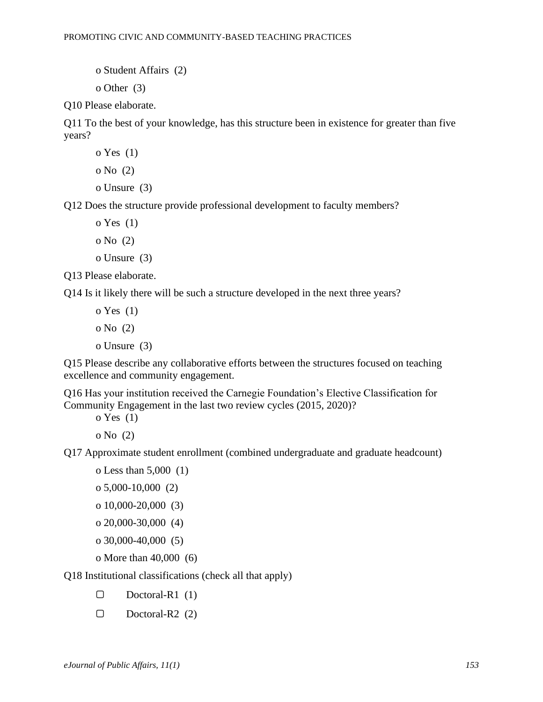o Student Affairs (2)

o Other (3)

Q10 Please elaborate.

Q11 To the best of your knowledge, has this structure been in existence for greater than five years?

```
o Yes (1)
o No (2)
o Unsure (3)
```
Q12 Does the structure provide professional development to faculty members?

o Yes (1) o No (2)

o Unsure (3)

Q13 Please elaborate.

Q14 Is it likely there will be such a structure developed in the next three years?

o Yes (1) o No (2) o Unsure (3)

Q15 Please describe any collaborative efforts between the structures focused on teaching excellence and community engagement.

Q16 Has your institution received the Carnegie Foundation's Elective Classification for Community Engagement in the last two review cycles (2015, 2020)?

o Yes (1)

o No (2)

Q17 Approximate student enrollment (combined undergraduate and graduate headcount)

o Less than 5,000 (1) o 5,000-10,000 (2) o 10,000-20,000 (3)

o 20,000-30,000 (4)

o 30,000-40,000 (5)

o More than 40,000 (6)

Q18 Institutional classifications (check all that apply)

- ▢ Doctoral-R1 (1)
- ▢ Doctoral-R2 (2)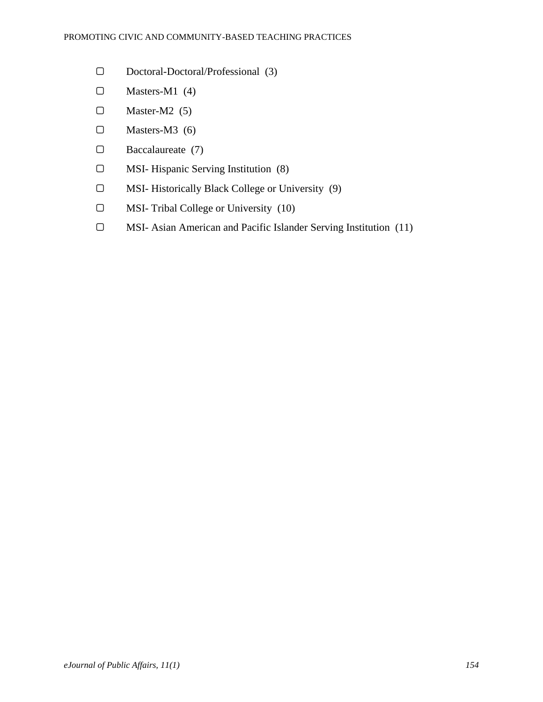- ▢ Doctoral-Doctoral/Professional (3)
- ▢ Masters-M1 (4)
- $\square$  Master-M2 (5)
- $\square$  Masters-M3 (6)
- ▢ Baccalaureate (7)
- ▢ MSI- Hispanic Serving Institution (8)
- ▢ MSI- Historically Black College or University (9)
- ▢ MSI- Tribal College or University (10)
- ▢ MSI- Asian American and Pacific Islander Serving Institution (11)